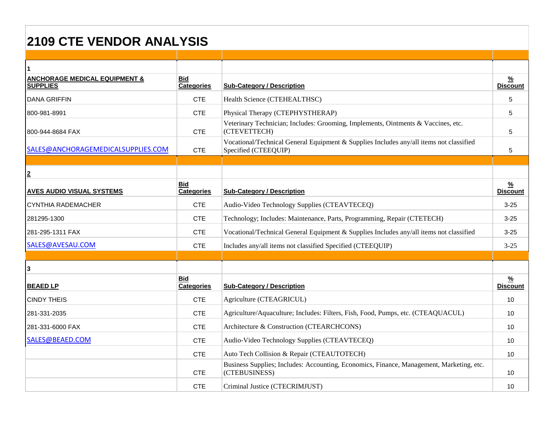## **2109 CTE VENDOR ANALYSIS**

| <b>ANCHORAGE MEDICAL EQUIPMENT &amp;</b><br><b>SUPPLIES</b> | <b>Bid</b><br>Categories        | <b>Sub-Category / Description</b>                                                                               | <u>%</u><br><b>Discount</b>      |
|-------------------------------------------------------------|---------------------------------|-----------------------------------------------------------------------------------------------------------------|----------------------------------|
| <b>DANA GRIFFIN</b>                                         | <b>CTE</b>                      | Health Science (CTEHEALTHSC)                                                                                    | 5                                |
| 800-981-8991                                                | <b>CTE</b>                      | Physical Therapy (CTEPHYSTHERAP)                                                                                | 5                                |
| 800-944-8684 FAX                                            | <b>CTE</b>                      | Veterinary Technician; Includes: Grooming, Implements, Ointments & Vaccines, etc.<br>(CTEVETTECH)               | 5                                |
| SALES@ANCHORAGEMEDICALSUPPLIES.COM                          | <b>CTE</b>                      | Vocational/Technical General Equipment & Supplies Includes any/all items not classified<br>Specified (CTEEQUIP) | 5                                |
|                                                             |                                 |                                                                                                                 |                                  |
| $\overline{2}$                                              |                                 |                                                                                                                 |                                  |
| <b>AVES AUDIO VISUAL SYSTEMS</b>                            | <b>Bid</b><br><b>Categories</b> | <b>Sub-Category / Description</b>                                                                               | $\frac{9}{6}$<br><b>Discount</b> |
| <b>CYNTHIA RADEMACHER</b>                                   | <b>CTE</b>                      | Audio-Video Technology Supplies (CTEAVTECEQ)                                                                    | $3 - 25$                         |
| 281295-1300                                                 | <b>CTE</b>                      | Technology; Includes: Maintenance, Parts, Programming, Repair (CTETECH)                                         | $3 - 25$                         |
| 281-295-1311 FAX                                            | <b>CTE</b>                      | Vocational/Technical General Equipment & Supplies Includes any/all items not classified                         | $3 - 25$                         |
| SALES@AVESAU.COM                                            | <b>CTE</b>                      | Includes any/all items not classified Specified (CTEEQUIP)                                                      | $3 - 25$                         |
|                                                             |                                 |                                                                                                                 |                                  |
| 3                                                           |                                 |                                                                                                                 |                                  |
| <b>BEAED LP</b>                                             | <b>Bid</b><br><b>Categories</b> | <b>Sub-Category / Description</b>                                                                               | $\frac{9}{6}$<br><b>Discount</b> |
| <b>CINDY THEIS</b>                                          | <b>CTE</b>                      | Agriculture (CTEAGRICUL)                                                                                        | 10                               |
| 281-331-2035                                                | <b>CTE</b>                      | Agriculture/Aquaculture; Includes: Filters, Fish, Food, Pumps, etc. (CTEAQUACUL)                                | 10                               |
| 281-331-6000 FAX                                            | <b>CTE</b>                      | Architecture & Construction (CTEARCHCONS)                                                                       | 10 <sup>1</sup>                  |
| SALES@BEAED.COM                                             | <b>CTE</b>                      | Audio-Video Technology Supplies (CTEAVTECEQ)                                                                    | 10                               |
|                                                             | <b>CTE</b>                      | Auto Tech Collision & Repair (CTEAUTOTECH)                                                                      | 10                               |
|                                                             | <b>CTE</b>                      | Business Supplies; Includes: Accounting, Economics, Finance, Management, Marketing, etc.<br>(CTEBUSINESS)       | 10 <sup>1</sup>                  |
|                                                             | <b>CTE</b>                      | Criminal Justice (CTECRIMJUST)                                                                                  | 10                               |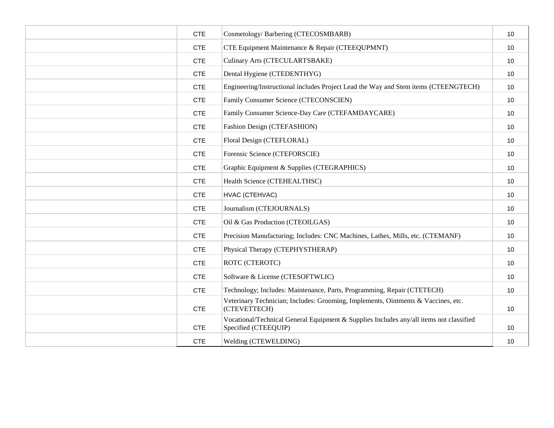| <b>CTE</b> | Cosmetology/Barbering (CTECOSMBARB)                                                                             | 10 |
|------------|-----------------------------------------------------------------------------------------------------------------|----|
| <b>CTE</b> | CTE Equipment Maintenance & Repair (CTEEQUPMNT)                                                                 | 10 |
| <b>CTE</b> | Culinary Arts (CTECULARTSBAKE)                                                                                  | 10 |
| <b>CTE</b> | Dental Hygiene (CTEDENTHYG)                                                                                     | 10 |
| <b>CTE</b> | Engineering/Instructional includes Project Lead the Way and Stem items (CTEENGTECH)                             | 10 |
| <b>CTE</b> | Family Consumer Science (CTECONSCIEN)                                                                           | 10 |
| <b>CTE</b> | Family Consumer Science-Day Care (CTEFAMDAYCARE)                                                                | 10 |
| <b>CTE</b> | Fashion Design (CTEFASHION)                                                                                     | 10 |
| <b>CTE</b> | Floral Design (CTEFLORAL)                                                                                       | 10 |
| <b>CTE</b> | Forensic Science (CTEFORSCIE)                                                                                   | 10 |
| <b>CTE</b> | Graphic Equipment & Supplies (CTEGRAPHICS)                                                                      | 10 |
| <b>CTE</b> | Health Science (CTEHEALTHSC)                                                                                    | 10 |
| <b>CTE</b> | HVAC (CTEHVAC)                                                                                                  | 10 |
| <b>CTE</b> | Journalism (CTEJOURNALS)                                                                                        | 10 |
| <b>CTE</b> | Oil & Gas Production (CTEOILGAS)                                                                                | 10 |
| <b>CTE</b> | Precision Manufacturing; Includes: CNC Machines, Lathes, Mills, etc. (CTEMANF)                                  | 10 |
| <b>CTE</b> | Physical Therapy (CTEPHYSTHERAP)                                                                                | 10 |
| <b>CTE</b> | ROTC (CTEROTC)                                                                                                  | 10 |
| <b>CTE</b> | Software & License (CTESOFTWLIC)                                                                                | 10 |
| <b>CTE</b> | Technology; Includes: Maintenance, Parts, Programming, Repair (CTETECH)                                         | 10 |
| <b>CTE</b> | Veterinary Technician; Includes: Grooming, Implements, Ointments & Vaccines, etc.<br>(CTEVETTECH)               | 10 |
| <b>CTE</b> | Vocational/Technical General Equipment & Supplies Includes any/all items not classified<br>Specified (CTEEQUIP) | 10 |
| <b>CTE</b> | Welding (CTEWELDING)                                                                                            | 10 |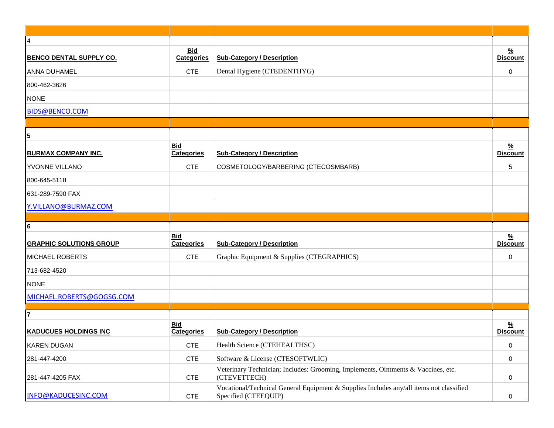| $\overline{4}$                 |                                 |                                                                                                                 |                                  |
|--------------------------------|---------------------------------|-----------------------------------------------------------------------------------------------------------------|----------------------------------|
| <b>BENCO DENTAL SUPPLY CO.</b> | <b>Bid</b><br><b>Categories</b> | <b>Sub-Category / Description</b>                                                                               | <u>%</u><br><b>Discount</b>      |
| <b>ANNA DUHAMEL</b>            | <b>CTE</b>                      | Dental Hygiene (CTEDENTHYG)                                                                                     | 0                                |
| 800-462-3626                   |                                 |                                                                                                                 |                                  |
| <b>NONE</b>                    |                                 |                                                                                                                 |                                  |
| <b>BIDS@BENCO.COM</b>          |                                 |                                                                                                                 |                                  |
|                                |                                 |                                                                                                                 |                                  |
| 5                              |                                 |                                                                                                                 |                                  |
| <b>BURMAX COMPANY INC.</b>     | <b>Bid</b><br><b>Categories</b> | <b>Sub-Category / Description</b>                                                                               | $\frac{9}{6}$<br><b>Discount</b> |
| YVONNE VILLANO                 | <b>CTE</b>                      | COSMETOLOGY/BARBERING (CTECOSMBARB)                                                                             | 5                                |
| 800-645-5118                   |                                 |                                                                                                                 |                                  |
| 631-289-7590 FAX               |                                 |                                                                                                                 |                                  |
| Y.VILLANO@BURMAZ.COM           |                                 |                                                                                                                 |                                  |
|                                |                                 |                                                                                                                 |                                  |
| 6                              |                                 |                                                                                                                 |                                  |
| <b>GRAPHIC SOLUTIONS GROUP</b> | <b>Bid</b><br><b>Categories</b> | <b>Sub-Category / Description</b>                                                                               | $\frac{9}{6}$<br><b>Discount</b> |
| <b>MICHAEL ROBERTS</b>         | <b>CTE</b>                      | Graphic Equipment & Supplies (CTEGRAPHICS)                                                                      | 0                                |
| 713-682-4520                   |                                 |                                                                                                                 |                                  |
| <b>NONE</b>                    |                                 |                                                                                                                 |                                  |
| MICHAEL.ROBERTS@GOGSG.COM      |                                 |                                                                                                                 |                                  |
| $\overline{7}$                 |                                 |                                                                                                                 |                                  |
| <b>KADUCUES HOLDINGS INC</b>   | <b>Bid</b><br><b>Categories</b> | <b>Sub-Category / Description</b>                                                                               | <u>%</u><br><b>Discount</b>      |
| <b>KAREN DUGAN</b>             | <b>CTE</b>                      | Health Science (CTEHEALTHSC)                                                                                    | 0                                |
| 281-447-4200                   | <b>CTE</b>                      | Software & License (CTESOFTWLIC)                                                                                | $\mathbf 0$                      |
| 281-447-4205 FAX               | <b>CTE</b>                      | Veterinary Technician; Includes: Grooming, Implements, Ointments & Vaccines, etc.<br>(CTEVETTECH)               | 0                                |
| INFO@KADUCESINC.COM            | <b>CTE</b>                      | Vocational/Technical General Equipment & Supplies Includes any/all items not classified<br>Specified (CTEEQUIP) | 0                                |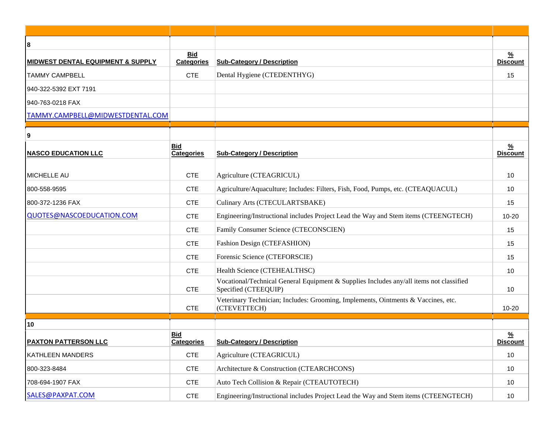| 8                                            |                                 |                                                                                                                 |                                  |
|----------------------------------------------|---------------------------------|-----------------------------------------------------------------------------------------------------------------|----------------------------------|
| <b>MIDWEST DENTAL EQUIPMENT &amp; SUPPLY</b> | <b>Bid</b><br><b>Categories</b> | <b>Sub-Category / Description</b>                                                                               | $\frac{9}{6}$<br><b>Discount</b> |
| <b>TAMMY CAMPBELL</b>                        | <b>CTE</b>                      | Dental Hygiene (CTEDENTHYG)                                                                                     | 15                               |
| 940-322-5392 EXT 7191                        |                                 |                                                                                                                 |                                  |
| 940-763-0218 FAX                             |                                 |                                                                                                                 |                                  |
| TAMMY.CAMPBELL@MIDWESTDENTAL.COM             |                                 |                                                                                                                 |                                  |
|                                              |                                 |                                                                                                                 |                                  |
| 9<br><b>NASCO EDUCATION LLC</b>              | <b>Bid</b><br><b>Categories</b> | <b>Sub-Category / Description</b>                                                                               | $\frac{9}{6}$<br><b>Discount</b> |
| <b>MICHELLE AU</b>                           | <b>CTE</b>                      | Agriculture (CTEAGRICUL)                                                                                        | 10                               |
| 800-558-9595                                 | <b>CTE</b>                      | Agriculture/Aquaculture; Includes: Filters, Fish, Food, Pumps, etc. (CTEAQUACUL)                                | 10                               |
| 800-372-1236 FAX                             | <b>CTE</b>                      | Culinary Arts (CTECULARTSBAKE)                                                                                  | 15                               |
| QUOTES@NASCOEDUCATION.COM                    | <b>CTE</b>                      | Engineering/Instructional includes Project Lead the Way and Stem items (CTEENGTECH)                             | $10 - 20$                        |
|                                              | <b>CTE</b>                      | Family Consumer Science (CTECONSCIEN)                                                                           | 15                               |
|                                              | <b>CTE</b>                      | Fashion Design (CTEFASHION)                                                                                     | 15                               |
|                                              | <b>CTE</b>                      | Forensic Science (CTEFORSCIE)                                                                                   | 15                               |
|                                              | <b>CTE</b>                      | Health Science (CTEHEALTHSC)                                                                                    | 10                               |
|                                              | <b>CTE</b>                      | Vocational/Technical General Equipment & Supplies Includes any/all items not classified<br>Specified (CTEEQUIP) | 10                               |
|                                              | <b>CTE</b>                      | Veterinary Technician; Includes: Grooming, Implements, Ointments & Vaccines, etc.<br>(CTEVETTECH)               | $10 - 20$                        |
| 10                                           |                                 |                                                                                                                 |                                  |
| <b>PAXTON PATTERSON LLC</b>                  | <b>Bid</b><br><b>Categories</b> | <b>Sub-Category / Description</b>                                                                               | $\frac{9}{6}$<br><b>Discount</b> |
| <b>KATHLEEN MANDERS</b>                      | <b>CTE</b>                      | Agriculture (CTEAGRICUL)                                                                                        | 10                               |
| 800-323-8484                                 | <b>CTE</b>                      | Architecture & Construction (CTEARCHCONS)                                                                       | 10                               |
| 708-694-1907 FAX                             | <b>CTE</b>                      | Auto Tech Collision & Repair (CTEAUTOTECH)                                                                      | 10                               |
| SALES@PAXPAT.COM                             | <b>CTE</b>                      | Engineering/Instructional includes Project Lead the Way and Stem items (CTEENGTECH)                             | 10                               |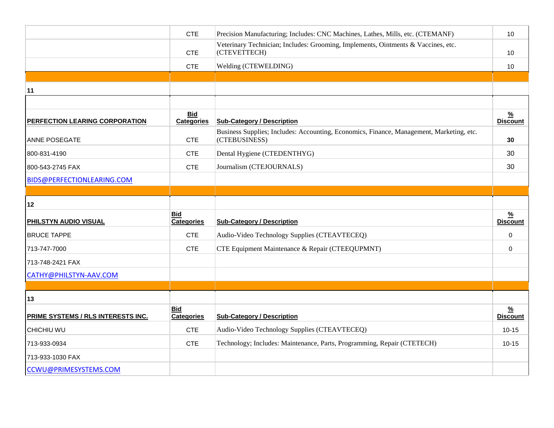|                                    | <b>CTE</b>                      | Precision Manufacturing; Includes: CNC Machines, Lathes, Mills, etc. (CTEMANF)                            | 10                               |
|------------------------------------|---------------------------------|-----------------------------------------------------------------------------------------------------------|----------------------------------|
|                                    | <b>CTE</b>                      | Veterinary Technician; Includes: Grooming, Implements, Ointments & Vaccines, etc.<br>(CTEVETTECH)         | 10                               |
|                                    | <b>CTE</b>                      | Welding (CTEWELDING)                                                                                      | 10                               |
|                                    |                                 |                                                                                                           |                                  |
| 11                                 |                                 |                                                                                                           |                                  |
|                                    |                                 |                                                                                                           |                                  |
| PERFECTION LEARING CORPORATION     | <b>Bid</b><br><b>Categories</b> | <b>Sub-Category / Description</b>                                                                         | $\frac{9}{6}$<br><b>Discount</b> |
| <b>ANNE POSEGATE</b>               | <b>CTE</b>                      | Business Supplies; Includes: Accounting, Economics, Finance, Management, Marketing, etc.<br>(CTEBUSINESS) | 30                               |
| 800-831-4190                       | <b>CTE</b>                      | Dental Hygiene (CTEDENTHYG)                                                                               | 30                               |
| 800-543-2745 FAX                   | <b>CTE</b>                      | Journalism (CTEJOURNALS)                                                                                  | 30                               |
| BIDS@PERFECTIONLEARING.COM         |                                 |                                                                                                           |                                  |
|                                    |                                 |                                                                                                           |                                  |
| 12                                 |                                 |                                                                                                           |                                  |
| PHILSTYN AUDIO VISUAL              | <b>Bid</b><br>Categories        | <b>Sub-Category / Description</b>                                                                         | $\frac{9}{6}$<br><b>Discount</b> |
| <b>BRUCE TAPPE</b>                 | <b>CTE</b>                      | Audio-Video Technology Supplies (CTEAVTECEQ)                                                              | 0                                |
| 713-747-7000                       | <b>CTE</b>                      | CTE Equipment Maintenance & Repair (CTEEQUPMNT)                                                           | 0                                |
| 713-748-2421 FAX                   |                                 |                                                                                                           |                                  |
| CATHY@PHILSTYN-AAV.COM             |                                 |                                                                                                           |                                  |
|                                    |                                 |                                                                                                           |                                  |
| 13                                 |                                 |                                                                                                           |                                  |
| PRIME SYSTEMS / RLS INTERESTS INC. | <b>Bid</b><br>Categories        | <b>Sub-Category / Description</b>                                                                         | $\frac{9}{6}$<br><b>Discount</b> |
| CHICHIU WU                         | <b>CTE</b>                      | Audio-Video Technology Supplies (CTEAVTECEQ)                                                              | $10 - 15$                        |
| 713-933-0934                       | <b>CTE</b>                      | Technology; Includes: Maintenance, Parts, Programming, Repair (CTETECH)                                   | $10 - 15$                        |
| 713-933-1030 FAX                   |                                 |                                                                                                           |                                  |
| CCWU@PRIMESYSTEMS.COM              |                                 |                                                                                                           |                                  |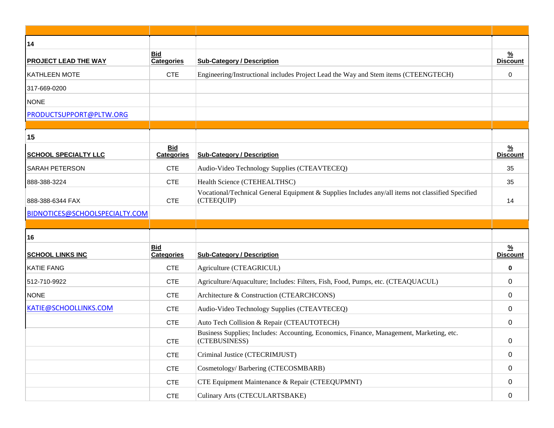| 14                             |                                 |                                                                                                                 |                                  |
|--------------------------------|---------------------------------|-----------------------------------------------------------------------------------------------------------------|----------------------------------|
| <b>PROJECT LEAD THE WAY</b>    | <b>Bid</b><br><b>Categories</b> | <b>Sub-Category / Description</b>                                                                               | $\frac{9}{6}$<br><b>Discount</b> |
| <b>KATHLEEN MOTE</b>           | <b>CTE</b>                      | Engineering/Instructional includes Project Lead the Way and Stem items (CTEENGTECH)                             | $\mathbf 0$                      |
| 317-669-0200                   |                                 |                                                                                                                 |                                  |
| <b>NONE</b>                    |                                 |                                                                                                                 |                                  |
| PRODUCTSUPPORT@PLTW.ORG        |                                 |                                                                                                                 |                                  |
|                                |                                 |                                                                                                                 |                                  |
| 15                             |                                 |                                                                                                                 |                                  |
| <b>SCHOOL SPECIALTY LLC</b>    | <b>Bid</b><br><b>Categories</b> | <b>Sub-Category / Description</b>                                                                               | <u>%</u><br><b>Discount</b>      |
| <b>SARAH PETERSON</b>          | <b>CTE</b>                      | Audio-Video Technology Supplies (CTEAVTECEQ)                                                                    | 35                               |
| 888-388-3224                   | <b>CTE</b>                      | Health Science (CTEHEALTHSC)                                                                                    | 35                               |
| 888-388-6344 FAX               | <b>CTE</b>                      | Vocational/Technical General Equipment & Supplies Includes any/all items not classified Specified<br>(CTEEQUIP) | 14                               |
| BIDNOTICES@SCHOOLSPECIALTY.COM |                                 |                                                                                                                 |                                  |
|                                |                                 |                                                                                                                 |                                  |
| 16                             |                                 |                                                                                                                 |                                  |
| <b>SCHOOL LINKS INC</b>        | <b>Bid</b><br><b>Categories</b> | <b>Sub-Category / Description</b>                                                                               | $\frac{9}{6}$<br><b>Discount</b> |
| <b>KATIE FANG</b>              | <b>CTE</b>                      | Agriculture (CTEAGRICUL)                                                                                        | $\bf{0}$                         |
| 512-710-9922                   | <b>CTE</b>                      | Agriculture/Aquaculture; Includes: Filters, Fish, Food, Pumps, etc. (CTEAQUACUL)                                | 0                                |
| <b>NONE</b>                    | <b>CTE</b>                      | Architecture & Construction (CTEARCHCONS)                                                                       | 0                                |
| KATIE@SCHOOLLINKS.COM          | <b>CTE</b>                      | Audio-Video Technology Supplies (CTEAVTECEQ)                                                                    | 0                                |
|                                |                                 |                                                                                                                 |                                  |
|                                | <b>CTE</b>                      | Auto Tech Collision & Repair (CTEAUTOTECH)                                                                      | 0                                |
|                                | <b>CTE</b>                      | Business Supplies; Includes: Accounting, Economics, Finance, Management, Marketing, etc.<br>(CTEBUSINESS)       | 0                                |
|                                | <b>CTE</b>                      | Criminal Justice (CTECRIMJUST)                                                                                  | 0                                |
|                                | <b>CTE</b>                      | Cosmetology/Barbering (CTECOSMBARB)                                                                             | 0                                |
|                                | <b>CTE</b>                      | CTE Equipment Maintenance & Repair (CTEEQUPMNT)                                                                 | 0                                |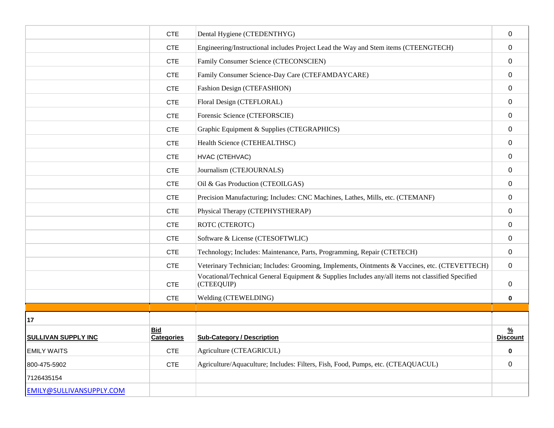|                            | <b>CTE</b>                      | Dental Hygiene (CTEDENTHYG)                                                                                     | $\mathbf 0$                 |
|----------------------------|---------------------------------|-----------------------------------------------------------------------------------------------------------------|-----------------------------|
|                            | <b>CTE</b>                      | Engineering/Instructional includes Project Lead the Way and Stem items (CTEENGTECH)                             | $\mathbf{0}$                |
|                            | <b>CTE</b>                      | Family Consumer Science (CTECONSCIEN)                                                                           | $\mathbf 0$                 |
|                            | <b>CTE</b>                      | Family Consumer Science-Day Care (CTEFAMDAYCARE)                                                                | $\mathbf{0}$                |
|                            | <b>CTE</b>                      | Fashion Design (CTEFASHION)                                                                                     | 0                           |
|                            | <b>CTE</b>                      | Floral Design (CTEFLORAL)                                                                                       | $\mathbf{0}$                |
|                            | <b>CTE</b>                      | Forensic Science (CTEFORSCIE)                                                                                   | $\mathbf{0}$                |
|                            | <b>CTE</b>                      | Graphic Equipment & Supplies (CTEGRAPHICS)                                                                      | $\mathbf{0}$                |
|                            | <b>CTE</b>                      | Health Science (CTEHEALTHSC)                                                                                    | 0                           |
|                            | <b>CTE</b>                      | HVAC (CTEHVAC)                                                                                                  | $\mathbf{0}$                |
|                            | <b>CTE</b>                      | Journalism (CTEJOURNALS)                                                                                        | 0                           |
|                            | <b>CTE</b>                      | Oil & Gas Production (CTEOILGAS)                                                                                | $\Omega$                    |
|                            | <b>CTE</b>                      | Precision Manufacturing; Includes: CNC Machines, Lathes, Mills, etc. (CTEMANF)                                  | $\mathbf{0}$                |
|                            | <b>CTE</b>                      | Physical Therapy (CTEPHYSTHERAP)                                                                                | $\mathbf{0}$                |
|                            | <b>CTE</b>                      | ROTC (CTEROTC)                                                                                                  | $\mathbf{0}$                |
|                            | <b>CTE</b>                      | Software & License (CTESOFTWLIC)                                                                                | $\mathbf{0}$                |
|                            | <b>CTE</b>                      | Technology; Includes: Maintenance, Parts, Programming, Repair (CTETECH)                                         | 0                           |
|                            | <b>CTE</b>                      | Veterinary Technician; Includes: Grooming, Implements, Ointments & Vaccines, etc. (CTEVETTECH)                  | 0                           |
|                            | <b>CTE</b>                      | Vocational/Technical General Equipment & Supplies Includes any/all items not classified Specified<br>(CTEEQUIP) | $\mathbf 0$                 |
|                            | <b>CTE</b>                      | Welding (CTEWELDING)                                                                                            | 0                           |
|                            |                                 |                                                                                                                 |                             |
| 17                         |                                 |                                                                                                                 |                             |
| <b>SULLIVAN SUPPLY INC</b> | <b>Bid</b><br><b>Categories</b> | <b>Sub-Category / Description</b>                                                                               | <u>%</u><br><b>Discount</b> |
| <b>EMILY WAITS</b>         | <b>CTE</b>                      | Agriculture (CTEAGRICUL)                                                                                        | 0                           |
| 800-475-5902               | <b>CTE</b>                      | Agriculture/Aquaculture; Includes: Filters, Fish, Food, Pumps, etc. (CTEAQUACUL)                                | 0                           |
| 7126435154                 |                                 |                                                                                                                 |                             |
| EMILY@SULLIVANSUPPLY.COM   |                                 |                                                                                                                 |                             |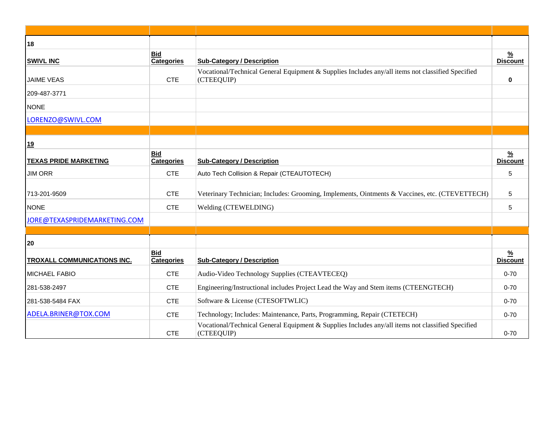| 18                                 |                                 |                                                                                                                 |                                  |
|------------------------------------|---------------------------------|-----------------------------------------------------------------------------------------------------------------|----------------------------------|
| <b>SWIVL INC</b>                   | <b>Bid</b><br><b>Categories</b> | <b>Sub-Category / Description</b>                                                                               | $\frac{9}{6}$<br><b>Discount</b> |
| <b>JAIME VEAS</b>                  | <b>CTE</b>                      | Vocational/Technical General Equipment & Supplies Includes any/all items not classified Specified<br>(CTEEQUIP) | $\mathbf 0$                      |
| 209-487-3771                       |                                 |                                                                                                                 |                                  |
| <b>NONE</b>                        |                                 |                                                                                                                 |                                  |
| LORENZO@SWIVL.COM                  |                                 |                                                                                                                 |                                  |
|                                    |                                 |                                                                                                                 |                                  |
| <u>19</u>                          |                                 |                                                                                                                 |                                  |
| <b>TEXAS PRIDE MARKETING</b>       | <b>Bid</b><br><b>Categories</b> | <b>Sub-Category / Description</b>                                                                               | $\frac{9}{6}$<br><b>Discount</b> |
| <b>JIM ORR</b>                     | <b>CTE</b>                      | Auto Tech Collision & Repair (CTEAUTOTECH)                                                                      | 5                                |
| 713-201-9509                       | <b>CTE</b>                      | Veterinary Technician; Includes: Grooming, Implements, Ointments & Vaccines, etc. (CTEVETTECH)                  | 5                                |
| <b>NONE</b>                        | <b>CTE</b>                      | Welding (CTEWELDING)                                                                                            | 5                                |
| JORE@TEXASPRIDEMARKETING.COM       |                                 |                                                                                                                 |                                  |
|                                    |                                 |                                                                                                                 |                                  |
| 20                                 |                                 |                                                                                                                 |                                  |
| <b>TROXALL COMMUNICATIONS INC.</b> | <b>Bid</b><br><b>Categories</b> | <b>Sub-Category / Description</b>                                                                               | $\frac{9}{6}$<br><b>Discount</b> |
| <b>MICHAEL FABIO</b>               | <b>CTE</b>                      | Audio-Video Technology Supplies (CTEAVTECEQ)                                                                    | $0 - 70$                         |
| 281-538-2497                       | <b>CTE</b>                      | Engineering/Instructional includes Project Lead the Way and Stem items (CTEENGTECH)                             | $0 - 70$                         |
| 281-538-5484 FAX                   | <b>CTE</b>                      | Software & License (CTESOFTWLIC)                                                                                | $0 - 70$                         |
| ADELA.BRINER@TOX.COM               | <b>CTE</b>                      | Technology; Includes: Maintenance, Parts, Programming, Repair (CTETECH)                                         | $0 - 70$                         |
|                                    | <b>CTE</b>                      | Vocational/Technical General Equipment & Supplies Includes any/all items not classified Specified<br>(CTEEQUIP) | $0 - 70$                         |